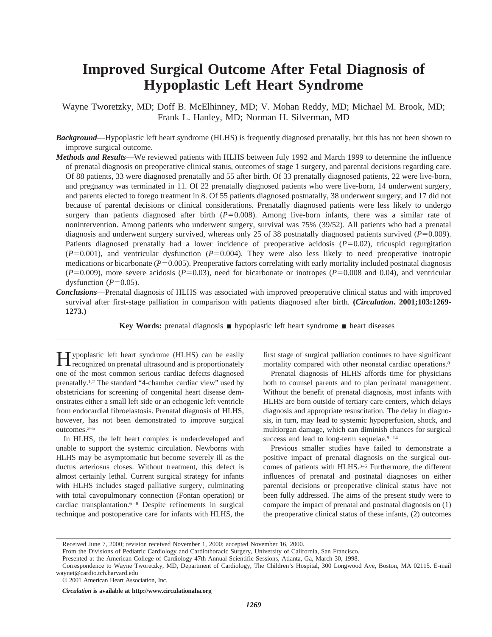# **Improved Surgical Outcome After Fetal Diagnosis of Hypoplastic Left Heart Syndrome**

Wayne Tworetzky, MD; Doff B. McElhinney, MD; V. Mohan Reddy, MD; Michael M. Brook, MD; Frank L. Hanley, MD; Norman H. Silverman, MD

- *Background*—Hypoplastic left heart syndrome (HLHS) is frequently diagnosed prenatally, but this has not been shown to improve surgical outcome.
- *Methods and Results*—We reviewed patients with HLHS between July 1992 and March 1999 to determine the influence of prenatal diagnosis on preoperative clinical status, outcomes of stage 1 surgery, and parental decisions regarding care. Of 88 patients, 33 were diagnosed prenatally and 55 after birth. Of 33 prenatally diagnosed patients, 22 were live-born, and pregnancy was terminated in 11. Of 22 prenatally diagnosed patients who were live-born, 14 underwent surgery, and parents elected to forego treatment in 8. Of 55 patients diagnosed postnatally, 38 underwent surgery, and 17 did not because of parental decisions or clinical considerations. Prenatally diagnosed patients were less likely to undergo surgery than patients diagnosed after birth  $(P=0.008)$ . Among live-born infants, there was a similar rate of nonintervention. Among patients who underwent surgery, survival was 75% (39/52). All patients who had a prenatal diagnosis and underwent surgery survived, whereas only 25 of 38 postnatally diagnosed patients survived  $(P=0.009)$ . Patients diagnosed prenatally had a lower incidence of preoperative acidosis  $(P=0.02)$ , tricuspid regurgitation  $(P=0.001)$ , and ventricular dysfunction  $(P=0.004)$ . They were also less likely to need preoperative inotropic medications or bicarbonate  $(P=0.005)$ . Preoperative factors correlating with early mortality included postnatal diagnosis  $(P=0.009)$ , more severe acidosis  $(P=0.03)$ , need for bicarbonate or inotropes  $(P=0.008$  and 0.04), and ventricular dysfunction  $(P=0.05)$ .
- *Conclusions*—Prenatal diagnosis of HLHS was associated with improved preoperative clinical status and with improved survival after first-stage palliation in comparison with patients diagnosed after birth. **(***Circulation***. 2001;103:1269- 1273.)**

**Key Words:** prenatal diagnosis ■ hypoplastic left heart syndrome ■ heart diseases

Typoplastic left heart syndrome (HLHS) can be easily recognized on prenatal ultrasound and is proportionately one of the most common serious cardiac defects diagnosed prenatally.1,2 The standard "4-chamber cardiac view" used by obstetricians for screening of congenital heart disease demonstrates either a small left side or an echogenic left ventricle from endocardial fibroelastosis. Prenatal diagnosis of HLHS, however, has not been demonstrated to improve surgical outcomes.3–5

In HLHS, the left heart complex is underdeveloped and unable to support the systemic circulation. Newborns with HLHS may be asymptomatic but become severely ill as the ductus arteriosus closes. Without treatment, this defect is almost certainly lethal. Current surgical strategy for infants with HLHS includes staged palliative surgery, culminating with total cavopulmonary connection (Fontan operation) or cardiac transplantation.6–8 Despite refinements in surgical technique and postoperative care for infants with HLHS, the first stage of surgical palliation continues to have significant mortality compared with other neonatal cardiac operations.<sup>8</sup>

Prenatal diagnosis of HLHS affords time for physicians both to counsel parents and to plan perinatal management. Without the benefit of prenatal diagnosis, most infants with HLHS are born outside of tertiary care centers, which delays diagnosis and appropriate resuscitation. The delay in diagnosis, in turn, may lead to systemic hypoperfusion, shock, and multiorgan damage, which can diminish chances for surgical success and lead to long-term sequelae. $9-14$ 

Previous smaller studies have failed to demonstrate a positive impact of prenatal diagnosis on the surgical outcomes of patients with HLHS.<sup>3-5</sup> Furthermore, the different influences of prenatal and postnatal diagnoses on either parental decisions or preoperative clinical status have not been fully addressed. The aims of the present study were to compare the impact of prenatal and postnatal diagnosis on (1) the preoperative clinical status of these infants, (2) outcomes

Received June 7, 2000; revision received November 1, 2000; accepted November 16, 2000.

From the Divisions of Pediatric Cardiology and Cardiothoracic Surgery, University of California, San Francisco.

Presented at the American College of Cardiology 47th Annual Scientific Sessions, Atlanta, Ga, March 30, 1998.

Correspondence to Wayne Tworetzky, MD, Department of Cardiology, The Children's Hospital, 300 Longwood Ave, Boston, MA 02115. E-mail waynet@cardio.tch.harvard.edu

<sup>© 2001</sup> American Heart Association, Inc.

*Circulation* **is available at http://www.circulationaha.org**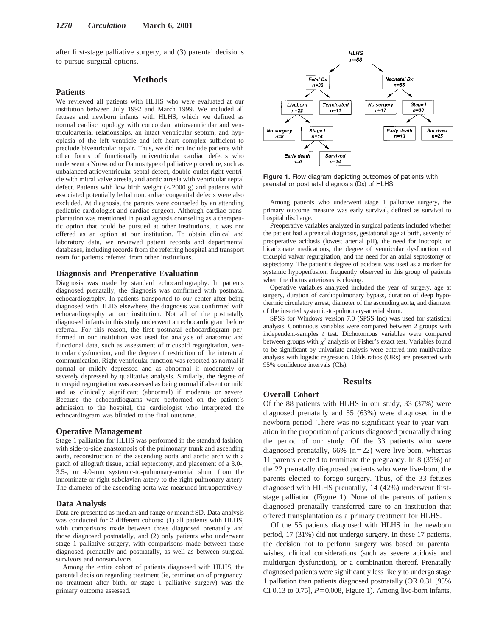after first-stage palliative surgery, and (3) parental decisions to pursue surgical options.

# **Methods**

## **Patients**

We reviewed all patients with HLHS who were evaluated at our institution between July 1992 and March 1999. We included all fetuses and newborn infants with HLHS, which we defined as normal cardiac topology with concordant atrioventricular and ventriculoarterial relationships, an intact ventricular septum, and hypoplasia of the left ventricle and left heart complex sufficient to preclude biventricular repair. Thus, we did not include patients with other forms of functionally univentricular cardiac defects who underwent a Norwood or Damus type of palliative procedure, such as unbalanced atrioventricular septal defect, double-outlet right ventricle with mitral valve atresia, and aortic atresia with ventricular septal defect. Patients with low birth weight  $(<2000 g$ ) and patients with associated potentially lethal noncardiac congenital defects were also excluded. At diagnosis, the parents were counseled by an attending pediatric cardiologist and cardiac surgeon. Although cardiac transplantation was mentioned in postdiagnosis counseling as a therapeutic option that could be pursued at other institutions, it was not offered as an option at our institution. To obtain clinical and laboratory data, we reviewed patient records and departmental databases, including records from the referring hospital and transport team for patients referred from other institutions.

#### **Diagnosis and Preoperative Evaluation**

Diagnosis was made by standard echocardiography. In patients diagnosed prenatally, the diagnosis was confirmed with postnatal echocardiography. In patients transported to our center after being diagnosed with HLHS elsewhere, the diagnosis was confirmed with echocardiography at our institution. Not all of the postnatally diagnosed infants in this study underwent an echocardiogram before referral. For this reason, the first postnatal echocardiogram performed in our institution was used for analysis of anatomic and functional data, such as assessment of tricuspid regurgitation, ventricular dysfunction, and the degree of restriction of the interatrial communication. Right ventricular function was reported as normal if normal or mildly depressed and as abnormal if moderately or severely depressed by qualitative analysis. Similarly, the degree of tricuspid regurgitation was assessed as being normal if absent or mild and as clinically significant (abnormal) if moderate or severe. Because the echocardiograms were performed on the patient's admission to the hospital, the cardiologist who interpreted the echocardiogram was blinded to the final outcome.

## **Operative Management**

Stage 1 palliation for HLHS was performed in the standard fashion, with side-to-side anastomosis of the pulmonary trunk and ascending aorta, reconstruction of the ascending aorta and aortic arch with a patch of allograft tissue, atrial septectomy, and placement of a 3.0-, 3.5-, or 4.0-mm systemic-to-pulmonary-arterial shunt from the innominate or right subclavian artery to the right pulmonary artery. The diameter of the ascending aorta was measured intraoperatively.

#### **Data Analysis**

Data are presented as median and range or mean $\pm$ SD. Data analysis was conducted for 2 different cohorts: (1) all patients with HLHS, with comparisons made between those diagnosed prenatally and those diagnosed postnatally, and (2) only patients who underwent stage 1 palliative surgery, with comparisons made between those diagnosed prenatally and postnatally, as well as between surgical survivors and nonsurvivors.

Among the entire cohort of patients diagnosed with HLHS, the parental decision regarding treatment (ie, termination of pregnancy, no treatment after birth, or stage 1 palliative surgery) was the primary outcome assessed.



**Figure 1.** Flow diagram depicting outcomes of patients with prenatal or postnatal diagnosis (Dx) of HLHS.

Among patients who underwent stage 1 palliative surgery, the primary outcome measure was early survival, defined as survival to hospital discharge.

Preoperative variables analyzed in surgical patients included whether the patient had a prenatal diagnosis, gestational age at birth, severity of preoperative acidosis (lowest arterial pH), the need for inotropic or bicarbonate medications, the degree of ventricular dysfunction and tricuspid valvar regurgitation, and the need for an atrial septostomy or septectomy. The patient's degree of acidosis was used as a marker for systemic hypoperfusion, frequently observed in this group of patients when the ductus arteriosus is closing.

Operative variables analyzed included the year of surgery, age at surgery, duration of cardiopulmonary bypass, duration of deep hypothermic circulatory arrest, diameter of the ascending aorta, and diameter of the inserted systemic-to-pulmonary-arterial shunt.

SPSS for Windows version 7.0 (SPSS Inc) was used for statistical analysis. Continuous variables were compared between 2 groups with independent-samples *t* test. Dichotomous variables were compared between groups with  $\chi^2$  analysis or Fisher's exact test. Variables found to be significant by univariate analysis were entered into multivariate analysis with logistic regression. Odds ratios (ORs) are presented with 95% confidence intervals (CIs).

# **Results**

# **Overall Cohort**

Of the 88 patients with HLHS in our study, 33 (37%) were diagnosed prenatally and 55 (63%) were diagnosed in the newborn period. There was no significant year-to-year variation in the proportion of patients diagnosed prenatally during the period of our study. Of the 33 patients who were diagnosed prenatally,  $66\%$  (n=22) were live-born, whereas 11 parents elected to terminate the pregnancy. In 8 (35%) of the 22 prenatally diagnosed patients who were live-born, the parents elected to forego surgery. Thus, of the 33 fetuses diagnosed with HLHS prenatally, 14 (42%) underwent firststage palliation (Figure 1). None of the parents of patients diagnosed prenatally transferred care to an institution that offered transplantation as a primary treatment for HLHS.

Of the 55 patients diagnosed with HLHS in the newborn period, 17 (31%) did not undergo surgery. In these 17 patients, the decision not to perform surgery was based on parental wishes, clinical considerations (such as severe acidosis and multiorgan dysfunction), or a combination thereof. Prenatally diagnosed patients were significantly less likely to undergo stage 1 palliation than patients diagnosed postnatally (OR 0.31 [95% CI 0.13 to 0.75],  $P=0.008$ , Figure 1). Among live-born infants,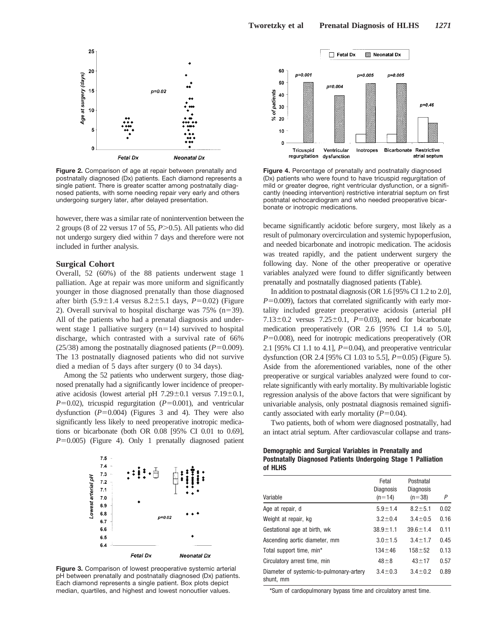

**Figure 2.** Comparison of age at repair between prenatally and postnatally diagnosed (Dx) patients. Each diamond represents a single patient. There is greater scatter among postnatally diagnosed patients, with some needing repair very early and others undergoing surgery later, after delayed presentation.

however, there was a similar rate of nonintervention between the 2 groups (8 of 22 versus 17 of 55, *P*.0.5). All patients who did not undergo surgery died within 7 days and therefore were not included in further analysis.

#### **Surgical Cohort**

Overall, 52 (60%) of the 88 patients underwent stage 1 palliation. Age at repair was more uniform and significantly younger in those diagnosed prenatally than those diagnosed after birth  $(5.9 \pm 1.4$  versus  $8.2 \pm 5.1$  days,  $P=0.02$ ) (Figure 2). Overall survival to hospital discharge was  $75\%$  (n=39). All of the patients who had a prenatal diagnosis and underwent stage 1 palliative surgery  $(n=14)$  survived to hospital discharge, which contrasted with a survival rate of 66% (25/38) among the postnatally diagnosed patients  $(P=0.009)$ . The 13 postnatally diagnosed patients who did not survive died a median of 5 days after surgery (0 to 34 days).

Among the 52 patients who underwent surgery, those diagnosed prenatally had a significantly lower incidence of preoperative acidosis (lowest arterial pH  $7.29 \pm 0.1$  versus  $7.19 \pm 0.1$ ,  $P=0.02$ ), tricuspid regurgitation ( $P=0.001$ ), and ventricular dysfunction  $(P=0.004)$  (Figures 3 and 4). They were also significantly less likely to need preoperative inotropic medications or bicarbonate (both OR 0.08 [95% CI 0.01 to 0.69],  $P=0.005$ ) (Figure 4). Only 1 prenatally diagnosed patient



**Figure 3.** Comparison of lowest preoperative systemic arterial pH between prenatally and postnatally diagnosed (Dx) patients. Each diamond represents a single patient. Box plots depict median, quartiles, and highest and lowest nonoutlier values.



**Figure 4.** Percentage of prenatally and postnatally diagnosed (Dx) patients who were found to have tricuspid regurgitation of mild or greater degree, right ventricular dysfunction, or a significantly (needing intervention) restrictive interatrial septum on first postnatal echocardiogram and who needed preoperative bicarbonate or inotropic medications.

became significantly acidotic before surgery, most likely as a result of pulmonary overcirculation and systemic hypoperfusion, and needed bicarbonate and inotropic medication. The acidosis was treated rapidly, and the patient underwent surgery the following day. None of the other preoperative or operative variables analyzed were found to differ significantly between prenatally and postnatally diagnosed patients (Table).

In addition to postnatal diagnosis (OR 1.6 [95% CI 1.2 to 2.0],  $P=0.009$ ), factors that correlated significantly with early mortality included greater preoperative acidosis (arterial pH 7.13 $\pm$ 0.2 versus 7.25 $\pm$ 0.1, *P*=0.03), need for bicarbonate medication preoperatively (OR 2.6 [95% CI 1.4 to 5.0],  $P=0.008$ ), need for inotropic medications preoperatively (OR 2.1 [95% CI 1.1 to 4.1],  $P=0.04$ ), and preoperative ventricular dysfunction (OR 2.4 [95% CI 1.03 to 5.5], *P*=0.05) (Figure 5). Aside from the aforementioned variables, none of the other preoperative or surgical variables analyzed were found to correlate significantly with early mortality. By multivariable logistic regression analysis of the above factors that were significant by univariable analysis, only postnatal diagnosis remained significantly associated with early mortality  $(P=0.04)$ .

Two patients, both of whom were diagnosed postnatally, had an intact atrial septum. After cardiovascular collapse and trans-

# **Demographic and Surgical Variables in Prenatally and Postnatally Diagnosed Patients Undergoing Stage 1 Palliation of HLHS**

|                                                       | Fetal<br><b>Diagnosis</b> | Postnatal<br><b>Diagnosis</b> |      |
|-------------------------------------------------------|---------------------------|-------------------------------|------|
| Variable                                              | $(n=14)$                  | $(n=38)$                      | Ρ    |
| Age at repair, d                                      | $5.9 + 1.4$               | $8.2 \pm 5.1$                 | 0.02 |
| Weight at repair, kg                                  | $3.2 \pm 0.4$             | $3.4 \pm 0.5$                 | 0.16 |
| Gestational age at birth, wk                          | $38.9 \pm 1.1$            | $39.6 + 1.4$                  | 0.11 |
| Ascending aortic diameter, mm                         | $3.0 \pm 1.5$             | $3.4 \pm 1.7$                 | 0.45 |
| Total support time, min <sup>*</sup>                  | $134 + 46$                | $158 + 52$                    | 0.13 |
| Circulatory arrest time, min                          | $48 + 8$                  | $43 + 17$                     | 0.57 |
| Diameter of systemic-to-pulmonary-artery<br>shunt, mm | $3.4 \pm 0.3$             | $3.4 \pm 0.2$                 | 0.89 |

\*Sum of cardiopulmonary bypass time and circulatory arrest time.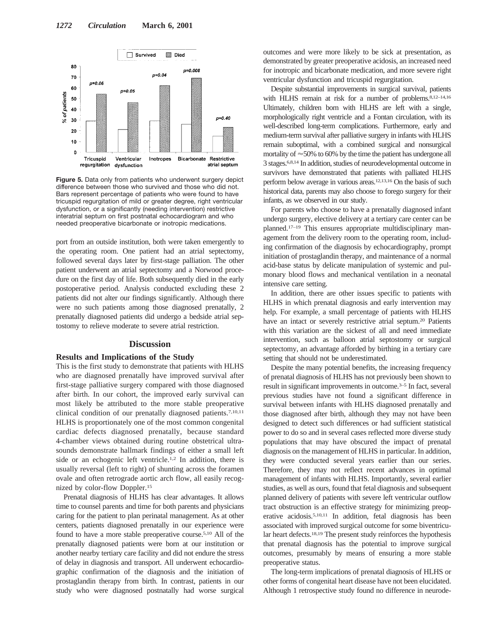

**Figure 5.** Data only from patients who underwent surgery depict difference between those who survived and those who did not. Bars represent percentage of patients who were found to have tricuspid regurgitation of mild or greater degree, right ventricular dysfunction, or a significantly (needing intervention) restrictive interatrial septum on first postnatal echocardiogram and who needed preoperative bicarbonate or inotropic medications.

port from an outside institution, both were taken emergently to the operating room. One patient had an atrial septectomy, followed several days later by first-stage palliation. The other patient underwent an atrial septectomy and a Norwood procedure on the first day of life. Both subsequently died in the early postoperative period. Analysis conducted excluding these 2 patients did not alter our findings significantly. Although there were no such patients among those diagnosed prenatally, 2 prenatally diagnosed patients did undergo a bedside atrial septostomy to relieve moderate to severe atrial restriction.

## **Discussion**

#### **Results and Implications of the Study**

This is the first study to demonstrate that patients with HLHS who are diagnosed prenatally have improved survival after first-stage palliative surgery compared with those diagnosed after birth. In our cohort, the improved early survival can most likely be attributed to the more stable preoperative clinical condition of our prenatally diagnosed patients.7,10,11 HLHS is proportionately one of the most common congenital cardiac defects diagnosed prenatally, because standard 4-chamber views obtained during routine obstetrical ultrasounds demonstrate hallmark findings of either a small left side or an echogenic left ventricle.1,2 In addition, there is usually reversal (left to right) of shunting across the foramen ovale and often retrograde aortic arch flow, all easily recognized by color-flow Doppler.15

Prenatal diagnosis of HLHS has clear advantages. It allows time to counsel parents and time for both parents and physicians caring for the patient to plan perinatal management. As at other centers, patients diagnosed prenatally in our experience were found to have a more stable preoperative course.5,10 All of the prenatally diagnosed patients were born at our institution or another nearby tertiary care facility and did not endure the stress of delay in diagnosis and transport. All underwent echocardiographic confirmation of the diagnosis and the initiation of prostaglandin therapy from birth. In contrast, patients in our study who were diagnosed postnatally had worse surgical outcomes and were more likely to be sick at presentation, as demonstrated by greater preoperative acidosis, an increased need for inotropic and bicarbonate medication, and more severe right ventricular dysfunction and tricuspid regurgitation.

Despite substantial improvements in surgical survival, patients with HLHS remain at risk for a number of problems.<sup>8,12-14,16</sup> Ultimately, children born with HLHS are left with a single, morphologically right ventricle and a Fontan circulation, with its well-described long-term complications. Furthermore, early and medium-term survival after palliative surgery in infants with HLHS remain suboptimal, with a combined surgical and nonsurgical mortality of  $\approx$  50% to 60% by the time the patient has undergone all 3 stages.6,8,14 In addition, studies of neurodevelopmental outcome in survivors have demonstrated that patients with palliated HLHS perform below average in various areas.12,13,16 On the basis of such historical data, parents may also choose to forego surgery for their infants, as we observed in our study.

For parents who choose to have a prenatally diagnosed infant undergo surgery, elective delivery at a tertiary care center can be planned.17–19 This ensures appropriate multidisciplinary management from the delivery room to the operating room, including confirmation of the diagnosis by echocardiography, prompt initiation of prostaglandin therapy, and maintenance of a normal acid-base status by delicate manipulation of systemic and pulmonary blood flows and mechanical ventilation in a neonatal intensive care setting.

In addition, there are other issues specific to patients with HLHS in which prenatal diagnosis and early intervention may help. For example, a small percentage of patients with HLHS have an intact or severely restrictive atrial septum.<sup>20</sup> Patients with this variation are the sickest of all and need immediate intervention, such as balloon atrial septostomy or surgical septectomy, an advantage afforded by birthing in a tertiary care setting that should not be underestimated.

Despite the many potential benefits, the increasing frequency of prenatal diagnosis of HLHS has not previously been shown to result in significant improvements in outcome.3–5 In fact, several previous studies have not found a significant difference in survival between infants with HLHS diagnosed prenatally and those diagnosed after birth, although they may not have been designed to detect such differences or had sufficient statistical power to do so and in several cases reflected more diverse study populations that may have obscured the impact of prenatal diagnosis on the management of HLHS in particular. In addition, they were conducted several years earlier than our series. Therefore, they may not reflect recent advances in optimal management of infants with HLHS. Importantly, several earlier studies, as well as ours, found that fetal diagnosis and subsequent planned delivery of patients with severe left ventricular outflow tract obstruction is an effective strategy for minimizing preoperative acidosis.5,10,11 In addition, fetal diagnosis has been associated with improved surgical outcome for some biventricular heart defects.18,19 The present study reinforces the hypothesis that prenatal diagnosis has the potential to improve surgical outcomes, presumably by means of ensuring a more stable preoperative status.

The long-term implications of prenatal diagnosis of HLHS or other forms of congenital heart disease have not been elucidated. Although 1 retrospective study found no difference in neurode